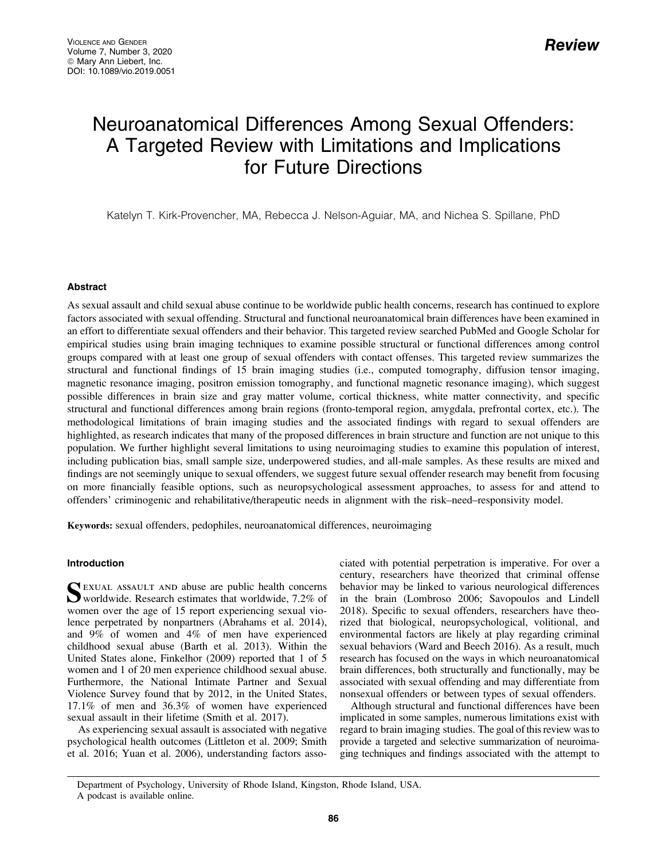# Neuroanatomical Differences Among Sexual Offenders: A Targeted Review with Limitations and Implications for Future Directions

Katelyn T. Kirk-Provencher, MA, Rebecca J. Nelson-Aguiar, MA, and Nichea S. Spillane, PhD

# Abstract

As sexual assault and child sexual abuse continue to be worldwide public health concerns, research has continued to explore factors associated with sexual offending. Structural and functional neuroanatomical brain differences have been examined in an effort to differentiate sexual offenders and their behavior. This targeted review searched PubMed and Google Scholar for empirical studies using brain imaging techniques to examine possible structural or functional differences among control groups compared with at least one group of sexual offenders with contact offenses. This targeted review summarizes the structural and functional findings of 15 brain imaging studies (i.e., computed tomography, diffusion tensor imaging, magnetic resonance imaging, positron emission tomography, and functional magnetic resonance imaging), which suggest possible differences in brain size and gray matter volume, cortical thickness, white matter connectivity, and specific structural and functional differences among brain regions (fronto-temporal region, amygdala, prefrontal cortex, etc.). The methodological limitations of brain imaging studies and the associated findings with regard to sexual offenders are highlighted, as research indicates that many of the proposed differences in brain structure and function are not unique to this population. We further highlight several limitations to using neuroimaging studies to examine this population of interest, including publication bias, small sample size, underpowered studies, and all-male samples. As these results are mixed and findings are not seemingly unique to sexual offenders, we suggest future sexual offender research may benefit from focusing on more financially feasible options, such as neuropsychological assessment approaches, to assess for and attend to offenders' criminogenic and rehabilitative/therapeutic needs in alignment with the risk–need–responsivity model.

Keywords: sexual offenders, pedophiles, neuroanatomical differences, neuroimaging

# Introduction

Sexual assault and abuse are public health concerns worldwide. Research estimates that worldwide, 7.2% of women over the age of 15 report experiencing sexual violence perpetrated by nonpartners (Abrahams et al. 2014), and 9% of women and 4% of men have experienced childhood sexual abuse (Barth et al. 2013). Within the United States alone, Finkelhor (2009) reported that 1 of 5 women and 1 of 20 men experience childhood sexual abuse. Furthermore, the National Intimate Partner and Sexual Violence Survey found that by 2012, in the United States, 17.1% of men and 36.3% of women have experienced sexual assault in their lifetime (Smith et al. 2017).

As experiencing sexual assault is associated with negative psychological health outcomes (Littleton et al. 2009; Smith et al. 2016; Yuan et al. 2006), understanding factors associated with potential perpetration is imperative. For over a century, researchers have theorized that criminal offense behavior may be linked to various neurological differences in the brain (Lombroso 2006; Savopoulos and Lindell 2018). Specific to sexual offenders, researchers have theorized that biological, neuropsychological, volitional, and environmental factors are likely at play regarding criminal sexual behaviors (Ward and Beech 2016). As a result, much research has focused on the ways in which neuroanatomical brain differences, both structurally and functionally, may be associated with sexual offending and may differentiate from nonsexual offenders or between types of sexual offenders.

Although structural and functional differences have been implicated in some samples, numerous limitations exist with regard to brain imaging studies. The goal of this review was to provide a targeted and selective summarization of neuroimaging techniques and findings associated with the attempt to

Department of Psychology, University of Rhode Island, Kingston, Rhode Island, USA.

A podcast is available online.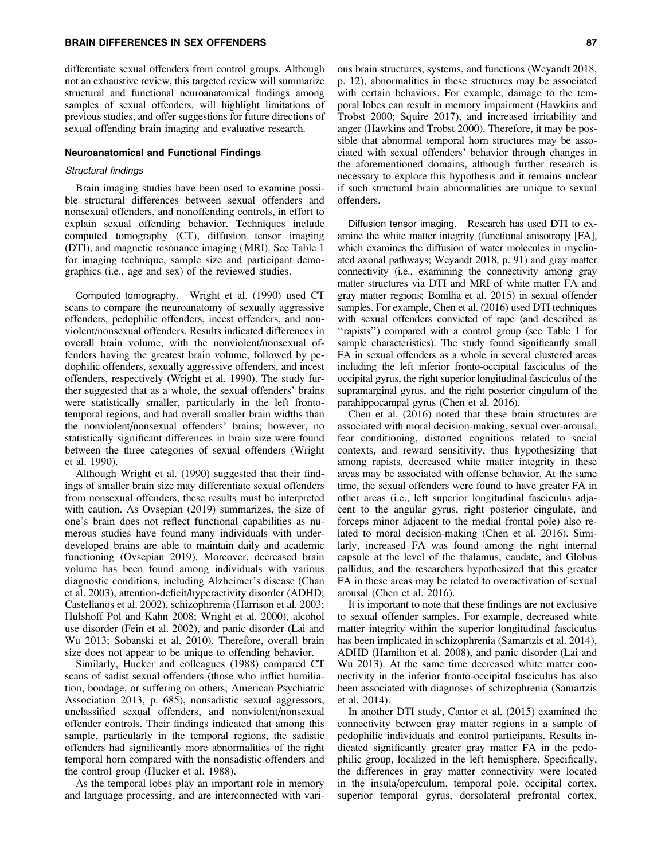differentiate sexual offenders from control groups. Although not an exhaustive review, this targeted review will summarize structural and functional neuroanatomical findings among samples of sexual offenders, will highlight limitations of previous studies, and offer suggestions for future directions of sexual offending brain imaging and evaluative research.

#### Neuroanatomical and Functional Findings

## Structural findings

Brain imaging studies have been used to examine possible structural differences between sexual offenders and nonsexual offenders, and nonoffending controls, in effort to explain sexual offending behavior. Techniques include computed tomography (CT), diffusion tensor imaging (DTI), and magnetic resonance imaging (MRI). See Table 1 for imaging technique, sample size and participant demographics (i.e., age and sex) of the reviewed studies.

Computed tomography. Wright et al. (1990) used CT scans to compare the neuroanatomy of sexually aggressive offenders, pedophilic offenders, incest offenders, and nonviolent/nonsexual offenders. Results indicated differences in overall brain volume, with the nonviolent/nonsexual offenders having the greatest brain volume, followed by pedophilic offenders, sexually aggressive offenders, and incest offenders, respectively (Wright et al. 1990). The study further suggested that as a whole, the sexual offenders' brains were statistically smaller, particularly in the left frontotemporal regions, and had overall smaller brain widths than the nonviolent/nonsexual offenders' brains; however, no statistically significant differences in brain size were found between the three categories of sexual offenders (Wright et al. 1990).

Although Wright et al. (1990) suggested that their findings of smaller brain size may differentiate sexual offenders from nonsexual offenders, these results must be interpreted with caution. As Ovsepian (2019) summarizes, the size of one's brain does not reflect functional capabilities as numerous studies have found many individuals with underdeveloped brains are able to maintain daily and academic functioning (Ovsepian 2019). Moreover, decreased brain volume has been found among individuals with various diagnostic conditions, including Alzheimer's disease (Chan et al. 2003), attention-deficit/hyperactivity disorder (ADHD; Castellanos et al. 2002), schizophrenia (Harrison et al. 2003; Hulshoff Pol and Kahn 2008; Wright et al. 2000), alcohol use disorder (Fein et al. 2002), and panic disorder (Lai and Wu 2013; Sobanski et al. 2010). Therefore, overall brain size does not appear to be unique to offending behavior.

Similarly, Hucker and colleagues (1988) compared CT scans of sadist sexual offenders (those who inflict humiliation, bondage, or suffering on others; American Psychiatric Association 2013, p. 685), nonsadistic sexual aggressors, unclassified sexual offenders, and nonviolent/nonsexual offender controls. Their findings indicated that among this sample, particularly in the temporal regions, the sadistic offenders had significantly more abnormalities of the right temporal horn compared with the nonsadistic offenders and the control group (Hucker et al. 1988).

As the temporal lobes play an important role in memory and language processing, and are interconnected with various brain structures, systems, and functions (Weyandt 2018, p. 12), abnormalities in these structures may be associated with certain behaviors. For example, damage to the temporal lobes can result in memory impairment (Hawkins and Trobst 2000; Squire 2017), and increased irritability and anger (Hawkins and Trobst 2000). Therefore, it may be possible that abnormal temporal horn structures may be associated with sexual offenders' behavior through changes in the aforementioned domains, although further research is necessary to explore this hypothesis and it remains unclear

Diffusion tensor imaging. Research has used DTI to examine the white matter integrity (functional anisotropy [FA], which examines the diffusion of water molecules in myelinated axonal pathways; Weyandt 2018, p. 91) and gray matter connectivity (i.e., examining the connectivity among gray matter structures via DTI and MRI of white matter FA and gray matter regions; Bonilha et al. 2015) in sexual offender samples. For example, Chen et al. (2016) used DTI techniques with sexual offenders convicted of rape (and described as ''rapists'') compared with a control group (see Table 1 for sample characteristics). The study found significantly small FA in sexual offenders as a whole in several clustered areas including the left inferior fronto-occipital fasciculus of the occipital gyrus, the right superior longitudinal fasciculus of the supramarginal gyrus, and the right posterior cingulum of the parahippocampal gyrus (Chen et al. 2016).

if such structural brain abnormalities are unique to sexual

offenders.

Chen et al. (2016) noted that these brain structures are associated with moral decision-making, sexual over-arousal, fear conditioning, distorted cognitions related to social contexts, and reward sensitivity, thus hypothesizing that among rapists, decreased white matter integrity in these areas may be associated with offense behavior. At the same time, the sexual offenders were found to have greater FA in other areas (i.e., left superior longitudinal fasciculus adjacent to the angular gyrus, right posterior cingulate, and forceps minor adjacent to the medial frontal pole) also related to moral decision-making (Chen et al. 2016). Similarly, increased FA was found among the right internal capsule at the level of the thalamus, caudate, and Globus pallidus, and the researchers hypothesized that this greater FA in these areas may be related to overactivation of sexual arousal (Chen et al. 2016).

It is important to note that these findings are not exclusive to sexual offender samples. For example, decreased white matter integrity within the superior longitudinal fasciculus has been implicated in schizophrenia (Samartzis et al. 2014), ADHD (Hamilton et al. 2008), and panic disorder (Lai and Wu 2013). At the same time decreased white matter connectivity in the inferior fronto-occipital fasciculus has also been associated with diagnoses of schizophrenia (Samartzis et al. 2014).

In another DTI study, Cantor et al. (2015) examined the connectivity between gray matter regions in a sample of pedophilic individuals and control participants. Results indicated significantly greater gray matter FA in the pedophilic group, localized in the left hemisphere. Specifically, the differences in gray matter connectivity were located in the insula/operculum, temporal pole, occipital cortex, superior temporal gyrus, dorsolateral prefrontal cortex,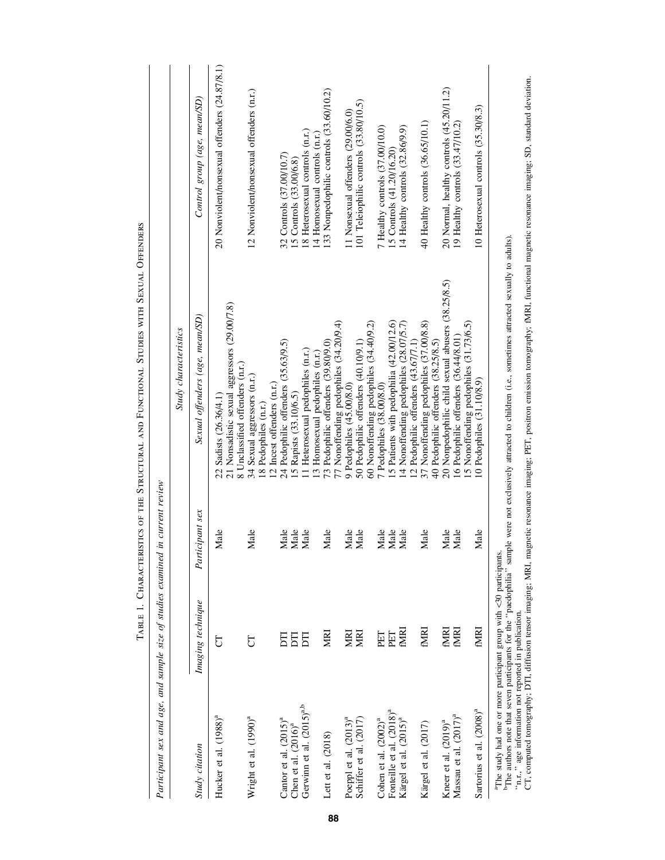|                                      |                   |                 | Study characteristics                                                                                               |                                                                          |
|--------------------------------------|-------------------|-----------------|---------------------------------------------------------------------------------------------------------------------|--------------------------------------------------------------------------|
| Study citation                       | Imaging technique | Participant sex | Sexual offenders (age, mean/SD)                                                                                     | Control group (age, mean/SD)                                             |
| Hucker et al. (1988) <sup>a</sup>    | 5                 | Male            | 21 Nonsadistic sexual aggressors (29.00/7.8)<br>22 Sadists (26.36/4.1)                                              | 20 Nonviolent/nonsexual offenders (24.87/8.1)                            |
| Wright et al. (1990) <sup>a</sup>    | 5                 | Male            | 8 Unclassified offenders (n.r.<br>34 Sexual aggressors (n.r.)<br>12 Incest offenders (n.r.)<br>18 Pedophiles (n.r.) | 12 Nonviolent/nonsexual offenders (n.r.)                                 |
| Cantor et al. $(2015)^a$             | Б                 | Male            | 24 Pedophilic offenders (35.63/9.5)                                                                                 | 32 Controls (37.00/10.7)                                                 |
| Chen et al. (2016) <sup>a</sup>      | Б                 | Male            | 15 Rapists (33.10/6.5)                                                                                              | 15 Controls (33.00/6.8)                                                  |
| Gerwinn et al. $(2015)^{a,b}$        | E                 | Male            | 11 Heterosexual pedophiles (n.r.)                                                                                   | 18 Heterosexual controls (n.r.)                                          |
| Lett et al. (2018)                   | ma                | Male            | 73 Pedophilic offenders (39.80/9.0)<br>13 Homosexual pedophiles (n.r.                                               | 133 Nonpedophilic controls (33.60/10.2)<br>14 Homosexual controls (n.r.) |
| Poeppl et al. (2013) <sup>ª</sup>    | MRI               | Male            | 77 Nonoffending pedophiles (34.20/9.4)<br>9 Pedophiles (45.00/8.0)                                                  | 11 Nonsexual offenders (29.00/6.0)                                       |
| Schiffer et al. (2017)               | bel               | Male            | 50 Pedophilic offenders (40.10/9.1)                                                                                 | 101 Teleiophilic controls (33.80/10.5)                                   |
|                                      |                   |                 | 60 Nonoffending pedophiles (34.40/9.2)                                                                              |                                                                          |
| Cohen et al. $(2002)^a$              | PET               | Male            | 7 Pedophiles (38.00/8.0)                                                                                            | 7 Healthy controls (37.00/10.0)                                          |
| Fonteille et al. (2018) <sup>a</sup> | PET               | Male            | 15 Patients with pedophilia (42.00/12.6)                                                                            | 15 Controls (41.20/16.20)                                                |
| Kärgel et al. (2015) <sup>a</sup>    | <b>EMRI</b>       | Male            | 14 Nonoffending pedophiles (28.07/5.7)<br>12 Pedophilic offenders (43.67/7.1)                                       | 14 Healthy controls $(32.86/9.9)$                                        |
| Kärgel et al. (2017)                 | fmri              | Male            | 37 Nonoffending pedophiles (37.00/8.8)<br>40 Pedophilic offenders (38.25/8.5)                                       | 40 Healthy controls (36.65/10.1)                                         |
| Kneer et al. (2019) <sup>a</sup>     | fMRI              | Male            | 20 Nonpedophilic child sexual abusers (38.25/8.5)                                                                   | 20 Normal, healthy controls (45.20/11.2)                                 |
| Massau et al. $(2017)^a$             | fMRI              | Male            | 15 Nonoffending pedophiles (31.73/6.5)<br>16 Pedophilic offenders (36.44/8.01)                                      | 19 Healthy controls (33.47/10.2)                                         |
| Sartorius et al. (2008) <sup>a</sup> | <b>ENRI</b>       | Male            | $10$ Pedophiles $(31.10/8.9)$                                                                                       | 10 Heterosexual controls (35.30/8.3)                                     |

TABLE 1. CHARACTERISTICS OF THE STRUCTURAL AND FUNCTIONAL STUDIES WITH SEXUAL OFFENDERS Table 1. Characteristics of the Structural and Functional Studies with Sexual Offenders

"n.r.," age information not reported in publication.<br>CT, computed tomography; DTI, diffusion tensor imaging; MRI, magnetic resonance imaging; PET, positron emission tomography; fMRI, functional magnetic resonance imaging; CT, computed tomography; DTI, diffusion tensor imaging; MRI, magnetic resonance imaging; PET, positron emission tomography; fMRI, functional magnetic resonance imaging; SD, standard deviation.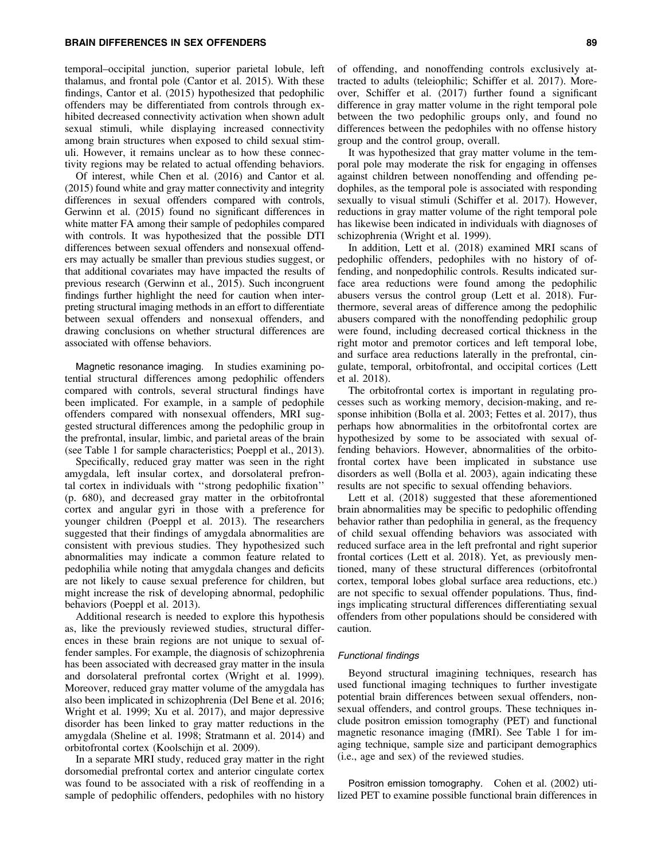#### BRAIN DIFFERENCES IN SEX OFFENDERS 89

temporal–occipital junction, superior parietal lobule, left thalamus, and frontal pole (Cantor et al. 2015). With these findings, Cantor et al. (2015) hypothesized that pedophilic offenders may be differentiated from controls through exhibited decreased connectivity activation when shown adult sexual stimuli, while displaying increased connectivity among brain structures when exposed to child sexual stimuli. However, it remains unclear as to how these connectivity regions may be related to actual offending behaviors.

Of interest, while Chen et al. (2016) and Cantor et al. (2015) found white and gray matter connectivity and integrity differences in sexual offenders compared with controls, Gerwinn et al. (2015) found no significant differences in white matter FA among their sample of pedophiles compared with controls. It was hypothesized that the possible DTI differences between sexual offenders and nonsexual offenders may actually be smaller than previous studies suggest, or that additional covariates may have impacted the results of previous research (Gerwinn et al., 2015). Such incongruent findings further highlight the need for caution when interpreting structural imaging methods in an effort to differentiate between sexual offenders and nonsexual offenders, and drawing conclusions on whether structural differences are associated with offense behaviors.

Magnetic resonance imaging. In studies examining potential structural differences among pedophilic offenders compared with controls, several structural findings have been implicated. For example, in a sample of pedophile offenders compared with nonsexual offenders, MRI suggested structural differences among the pedophilic group in the prefrontal, insular, limbic, and parietal areas of the brain (see Table 1 for sample characteristics; Poeppl et al., 2013).

Specifically, reduced gray matter was seen in the right amygdala, left insular cortex, and dorsolateral prefrontal cortex in individuals with ''strong pedophilic fixation'' (p. 680), and decreased gray matter in the orbitofrontal cortex and angular gyri in those with a preference for younger children (Poeppl et al. 2013). The researchers suggested that their findings of amygdala abnormalities are consistent with previous studies. They hypothesized such abnormalities may indicate a common feature related to pedophilia while noting that amygdala changes and deficits are not likely to cause sexual preference for children, but might increase the risk of developing abnormal, pedophilic behaviors (Poeppl et al. 2013).

Additional research is needed to explore this hypothesis as, like the previously reviewed studies, structural differences in these brain regions are not unique to sexual offender samples. For example, the diagnosis of schizophrenia has been associated with decreased gray matter in the insula and dorsolateral prefrontal cortex (Wright et al. 1999). Moreover, reduced gray matter volume of the amygdala has also been implicated in schizophrenia (Del Bene et al. 2016; Wright et al. 1999; Xu et al. 2017), and major depressive disorder has been linked to gray matter reductions in the amygdala (Sheline et al. 1998; Stratmann et al. 2014) and orbitofrontal cortex (Koolschijn et al. 2009).

In a separate MRI study, reduced gray matter in the right dorsomedial prefrontal cortex and anterior cingulate cortex was found to be associated with a risk of reoffending in a sample of pedophilic offenders, pedophiles with no history of offending, and nonoffending controls exclusively attracted to adults (teleiophilic; Schiffer et al. 2017). Moreover, Schiffer et al. (2017) further found a significant difference in gray matter volume in the right temporal pole between the two pedophilic groups only, and found no differences between the pedophiles with no offense history group and the control group, overall.

It was hypothesized that gray matter volume in the temporal pole may moderate the risk for engaging in offenses against children between nonoffending and offending pedophiles, as the temporal pole is associated with responding sexually to visual stimuli (Schiffer et al. 2017). However, reductions in gray matter volume of the right temporal pole has likewise been indicated in individuals with diagnoses of schizophrenia (Wright et al. 1999).

In addition, Lett et al. (2018) examined MRI scans of pedophilic offenders, pedophiles with no history of offending, and nonpedophilic controls. Results indicated surface area reductions were found among the pedophilic abusers versus the control group (Lett et al. 2018). Furthermore, several areas of difference among the pedophilic abusers compared with the nonoffending pedophilic group were found, including decreased cortical thickness in the right motor and premotor cortices and left temporal lobe, and surface area reductions laterally in the prefrontal, cingulate, temporal, orbitofrontal, and occipital cortices (Lett et al. 2018).

The orbitofrontal cortex is important in regulating processes such as working memory, decision-making, and response inhibition (Bolla et al. 2003; Fettes et al. 2017), thus perhaps how abnormalities in the orbitofrontal cortex are hypothesized by some to be associated with sexual offending behaviors. However, abnormalities of the orbitofrontal cortex have been implicated in substance use disorders as well (Bolla et al. 2003), again indicating these results are not specific to sexual offending behaviors.

Lett et al. (2018) suggested that these aforementioned brain abnormalities may be specific to pedophilic offending behavior rather than pedophilia in general, as the frequency of child sexual offending behaviors was associated with reduced surface area in the left prefrontal and right superior frontal cortices (Lett et al. 2018). Yet, as previously mentioned, many of these structural differences (orbitofrontal cortex, temporal lobes global surface area reductions, etc.) are not specific to sexual offender populations. Thus, findings implicating structural differences differentiating sexual offenders from other populations should be considered with caution.

#### Functional findings

Beyond structural imagining techniques, research has used functional imaging techniques to further investigate potential brain differences between sexual offenders, nonsexual offenders, and control groups. These techniques include positron emission tomography (PET) and functional magnetic resonance imaging (fMRI). See Table 1 for imaging technique, sample size and participant demographics (i.e., age and sex) of the reviewed studies.

Positron emission tomography. Cohen et al. (2002) utilized PET to examine possible functional brain differences in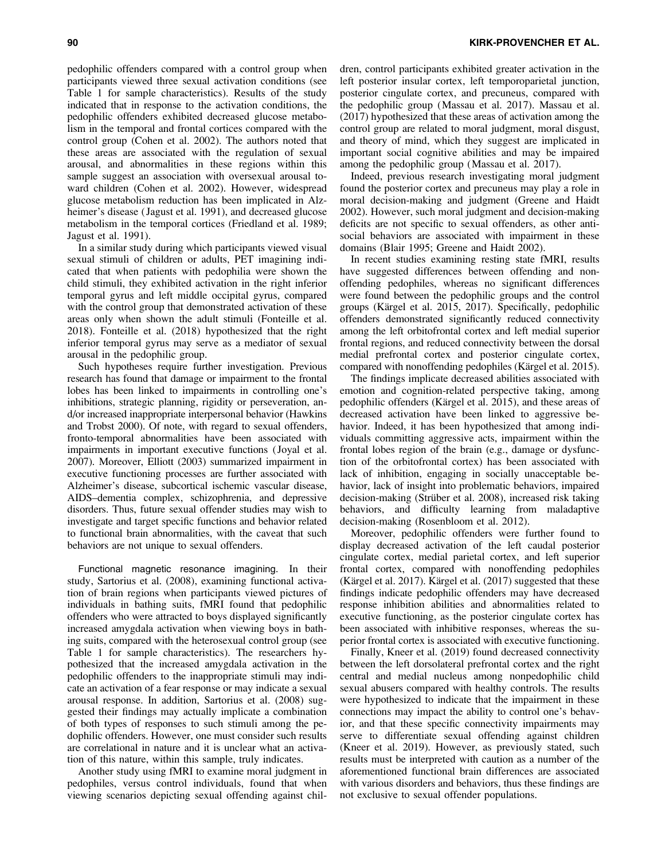pedophilic offenders compared with a control group when participants viewed three sexual activation conditions (see Table 1 for sample characteristics). Results of the study indicated that in response to the activation conditions, the pedophilic offenders exhibited decreased glucose metabolism in the temporal and frontal cortices compared with the control group (Cohen et al. 2002). The authors noted that these areas are associated with the regulation of sexual arousal, and abnormalities in these regions within this sample suggest an association with oversexual arousal toward children (Cohen et al. 2002). However, widespread glucose metabolism reduction has been implicated in Alzheimer's disease (Jagust et al. 1991), and decreased glucose metabolism in the temporal cortices (Friedland et al. 1989; Jagust et al. 1991).

In a similar study during which participants viewed visual sexual stimuli of children or adults, PET imagining indicated that when patients with pedophilia were shown the child stimuli, they exhibited activation in the right inferior temporal gyrus and left middle occipital gyrus, compared with the control group that demonstrated activation of these areas only when shown the adult stimuli (Fonteille et al. 2018). Fonteille et al. (2018) hypothesized that the right inferior temporal gyrus may serve as a mediator of sexual arousal in the pedophilic group.

Such hypotheses require further investigation. Previous research has found that damage or impairment to the frontal lobes has been linked to impairments in controlling one's inhibitions, strategic planning, rigidity or perseveration, and/or increased inappropriate interpersonal behavior (Hawkins and Trobst 2000). Of note, with regard to sexual offenders, fronto-temporal abnormalities have been associated with impairments in important executive functions (Joyal et al. 2007). Moreover, Elliott (2003) summarized impairment in executive functioning processes are further associated with Alzheimer's disease, subcortical ischemic vascular disease, AIDS–dementia complex, schizophrenia, and depressive disorders. Thus, future sexual offender studies may wish to investigate and target specific functions and behavior related to functional brain abnormalities, with the caveat that such behaviors are not unique to sexual offenders.

Functional magnetic resonance imagining. In their study, Sartorius et al. (2008), examining functional activation of brain regions when participants viewed pictures of individuals in bathing suits, fMRI found that pedophilic offenders who were attracted to boys displayed significantly increased amygdala activation when viewing boys in bathing suits, compared with the heterosexual control group (see Table 1 for sample characteristics). The researchers hypothesized that the increased amygdala activation in the pedophilic offenders to the inappropriate stimuli may indicate an activation of a fear response or may indicate a sexual arousal response. In addition, Sartorius et al. (2008) suggested their findings may actually implicate a combination of both types of responses to such stimuli among the pedophilic offenders. However, one must consider such results are correlational in nature and it is unclear what an activation of this nature, within this sample, truly indicates.

Another study using fMRI to examine moral judgment in pedophiles, versus control individuals, found that when viewing scenarios depicting sexual offending against children, control participants exhibited greater activation in the left posterior insular cortex, left temporoparietal junction, posterior cingulate cortex, and precuneus, compared with the pedophilic group (Massau et al. 2017). Massau et al. (2017) hypothesized that these areas of activation among the control group are related to moral judgment, moral disgust, and theory of mind, which they suggest are implicated in important social cognitive abilities and may be impaired among the pedophilic group (Massau et al. 2017).

Indeed, previous research investigating moral judgment found the posterior cortex and precuneus may play a role in moral decision-making and judgment (Greene and Haidt 2002). However, such moral judgment and decision-making deficits are not specific to sexual offenders, as other antisocial behaviors are associated with impairment in these domains (Blair 1995; Greene and Haidt 2002).

In recent studies examining resting state fMRI, results have suggested differences between offending and nonoffending pedophiles, whereas no significant differences were found between the pedophilic groups and the control groups (Kärgel et al. 2015, 2017). Specifically, pedophilic offenders demonstrated significantly reduced connectivity among the left orbitofrontal cortex and left medial superior frontal regions, and reduced connectivity between the dorsal medial prefrontal cortex and posterior cingulate cortex, compared with nonoffending pedophiles (Kärgel et al. 2015).

The findings implicate decreased abilities associated with emotion and cognition-related perspective taking, among pedophilic offenders (Kärgel et al. 2015), and these areas of decreased activation have been linked to aggressive behavior. Indeed, it has been hypothesized that among individuals committing aggressive acts, impairment within the frontal lobes region of the brain (e.g., damage or dysfunction of the orbitofrontal cortex) has been associated with lack of inhibition, engaging in socially unacceptable behavior, lack of insight into problematic behaviors, impaired decision-making (Strüber et al. 2008), increased risk taking behaviors, and difficulty learning from maladaptive decision-making (Rosenbloom et al. 2012).

Moreover, pedophilic offenders were further found to display decreased activation of the left caudal posterior cingulate cortex, medial parietal cortex, and left superior frontal cortex, compared with nonoffending pedophiles (Kärgel et al. 2017). Kärgel et al.  $(2017)$  suggested that these findings indicate pedophilic offenders may have decreased response inhibition abilities and abnormalities related to executive functioning, as the posterior cingulate cortex has been associated with inhibitive responses, whereas the superior frontal cortex is associated with executive functioning.

Finally, Kneer et al. (2019) found decreased connectivity between the left dorsolateral prefrontal cortex and the right central and medial nucleus among nonpedophilic child sexual abusers compared with healthy controls. The results were hypothesized to indicate that the impairment in these connections may impact the ability to control one's behavior, and that these specific connectivity impairments may serve to differentiate sexual offending against children (Kneer et al. 2019). However, as previously stated, such results must be interpreted with caution as a number of the aforementioned functional brain differences are associated with various disorders and behaviors, thus these findings are not exclusive to sexual offender populations.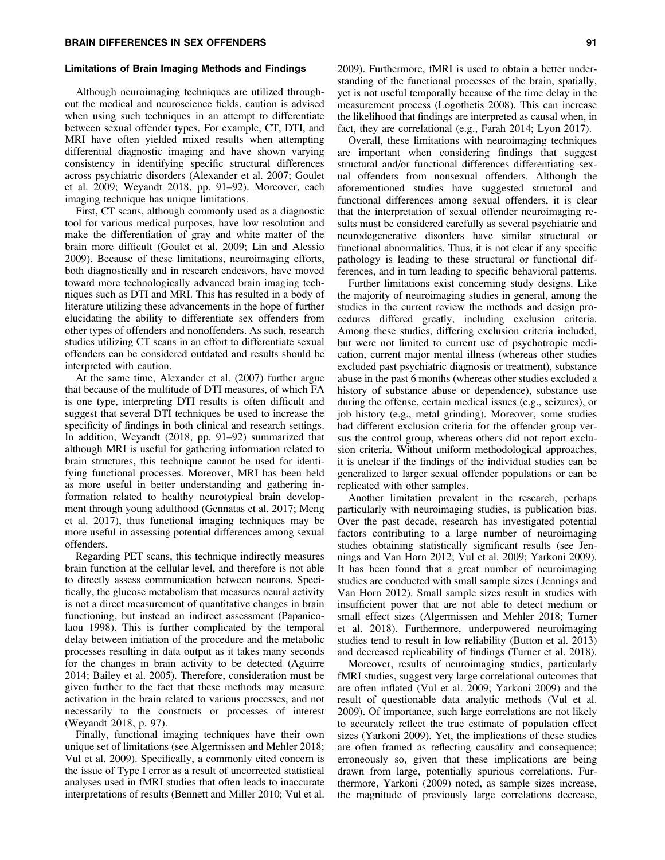## Limitations of Brain Imaging Methods and Findings

Although neuroimaging techniques are utilized throughout the medical and neuroscience fields, caution is advised when using such techniques in an attempt to differentiate between sexual offender types. For example, CT, DTI, and MRI have often yielded mixed results when attempting differential diagnostic imaging and have shown varying consistency in identifying specific structural differences across psychiatric disorders (Alexander et al. 2007; Goulet et al. 2009; Weyandt 2018, pp. 91–92). Moreover, each imaging technique has unique limitations.

First, CT scans, although commonly used as a diagnostic tool for various medical purposes, have low resolution and make the differentiation of gray and white matter of the brain more difficult (Goulet et al. 2009; Lin and Alessio 2009). Because of these limitations, neuroimaging efforts, both diagnostically and in research endeavors, have moved toward more technologically advanced brain imaging techniques such as DTI and MRI. This has resulted in a body of literature utilizing these advancements in the hope of further elucidating the ability to differentiate sex offenders from other types of offenders and nonoffenders. As such, research studies utilizing CT scans in an effort to differentiate sexual offenders can be considered outdated and results should be interpreted with caution.

At the same time, Alexander et al. (2007) further argue that because of the multitude of DTI measures, of which FA is one type, interpreting DTI results is often difficult and suggest that several DTI techniques be used to increase the specificity of findings in both clinical and research settings. In addition, Weyandt (2018, pp. 91–92) summarized that although MRI is useful for gathering information related to brain structures, this technique cannot be used for identifying functional processes. Moreover, MRI has been held as more useful in better understanding and gathering information related to healthy neurotypical brain development through young adulthood (Gennatas et al. 2017; Meng et al. 2017), thus functional imaging techniques may be more useful in assessing potential differences among sexual offenders.

Regarding PET scans, this technique indirectly measures brain function at the cellular level, and therefore is not able to directly assess communication between neurons. Specifically, the glucose metabolism that measures neural activity is not a direct measurement of quantitative changes in brain functioning, but instead an indirect assessment (Papanicolaou 1998). This is further complicated by the temporal delay between initiation of the procedure and the metabolic processes resulting in data output as it takes many seconds for the changes in brain activity to be detected (Aguirre 2014; Bailey et al. 2005). Therefore, consideration must be given further to the fact that these methods may measure activation in the brain related to various processes, and not necessarily to the constructs or processes of interest (Weyandt 2018, p. 97).

Finally, functional imaging techniques have their own unique set of limitations (see Algermissen and Mehler 2018; Vul et al. 2009). Specifically, a commonly cited concern is the issue of Type I error as a result of uncorrected statistical analyses used in fMRI studies that often leads to inaccurate interpretations of results (Bennett and Miller 2010; Vul et al.

2009). Furthermore, fMRI is used to obtain a better understanding of the functional processes of the brain, spatially, yet is not useful temporally because of the time delay in the measurement process (Logothetis 2008). This can increase the likelihood that findings are interpreted as causal when, in fact, they are correlational (e.g., Farah 2014; Lyon 2017).

Overall, these limitations with neuroimaging techniques are important when considering findings that suggest structural and/or functional differences differentiating sexual offenders from nonsexual offenders. Although the aforementioned studies have suggested structural and functional differences among sexual offenders, it is clear that the interpretation of sexual offender neuroimaging results must be considered carefully as several psychiatric and neurodegenerative disorders have similar structural or functional abnormalities. Thus, it is not clear if any specific pathology is leading to these structural or functional differences, and in turn leading to specific behavioral patterns.

Further limitations exist concerning study designs. Like the majority of neuroimaging studies in general, among the studies in the current review the methods and design procedures differed greatly, including exclusion criteria. Among these studies, differing exclusion criteria included, but were not limited to current use of psychotropic medication, current major mental illness (whereas other studies excluded past psychiatric diagnosis or treatment), substance abuse in the past 6 months (whereas other studies excluded a history of substance abuse or dependence), substance use during the offense, certain medical issues (e.g., seizures), or job history (e.g., metal grinding). Moreover, some studies had different exclusion criteria for the offender group versus the control group, whereas others did not report exclusion criteria. Without uniform methodological approaches, it is unclear if the findings of the individual studies can be generalized to larger sexual offender populations or can be replicated with other samples.

Another limitation prevalent in the research, perhaps particularly with neuroimaging studies, is publication bias. Over the past decade, research has investigated potential factors contributing to a large number of neuroimaging studies obtaining statistically significant results (see Jennings and Van Horn 2012; Vul et al. 2009; Yarkoni 2009). It has been found that a great number of neuroimaging studies are conducted with small sample sizes ( Jennings and Van Horn 2012). Small sample sizes result in studies with insufficient power that are not able to detect medium or small effect sizes (Algermissen and Mehler 2018; Turner et al. 2018). Furthermore, underpowered neuroimaging studies tend to result in low reliability (Button et al. 2013) and decreased replicability of findings (Turner et al. 2018).

Moreover, results of neuroimaging studies, particularly fMRI studies, suggest very large correlational outcomes that are often inflated (Vul et al. 2009; Yarkoni 2009) and the result of questionable data analytic methods (Vul et al. 2009). Of importance, such large correlations are not likely to accurately reflect the true estimate of population effect sizes (Yarkoni 2009). Yet, the implications of these studies are often framed as reflecting causality and consequence; erroneously so, given that these implications are being drawn from large, potentially spurious correlations. Furthermore, Yarkoni (2009) noted, as sample sizes increase, the magnitude of previously large correlations decrease,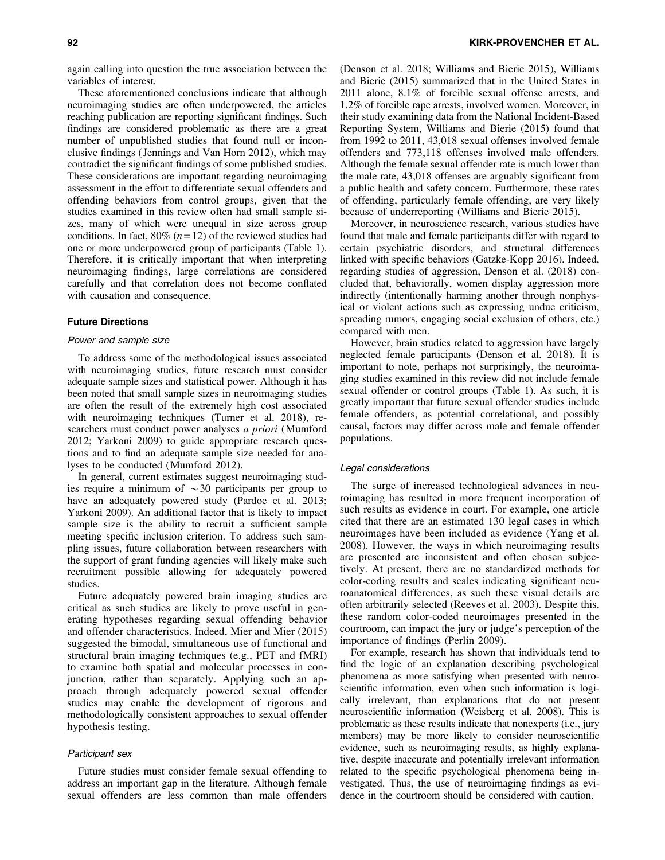again calling into question the true association between the variables of interest.

These aforementioned conclusions indicate that although neuroimaging studies are often underpowered, the articles reaching publication are reporting significant findings. Such findings are considered problematic as there are a great number of unpublished studies that found null or inconclusive findings ( Jennings and Van Horn 2012), which may contradict the significant findings of some published studies. These considerations are important regarding neuroimaging assessment in the effort to differentiate sexual offenders and offending behaviors from control groups, given that the studies examined in this review often had small sample sizes, many of which were unequal in size across group conditions. In fact,  $80\%$  ( $n = 12$ ) of the reviewed studies had one or more underpowered group of participants (Table 1). Therefore, it is critically important that when interpreting neuroimaging findings, large correlations are considered carefully and that correlation does not become conflated with causation and consequence.

# Future Directions

#### Power and sample size

To address some of the methodological issues associated with neuroimaging studies, future research must consider adequate sample sizes and statistical power. Although it has been noted that small sample sizes in neuroimaging studies are often the result of the extremely high cost associated with neuroimaging techniques (Turner et al. 2018), researchers must conduct power analyses a priori (Mumford 2012; Yarkoni 2009) to guide appropriate research questions and to find an adequate sample size needed for analyses to be conducted (Mumford 2012).

In general, current estimates suggest neuroimaging studies require a minimum of  $\sim$  30 participants per group to have an adequately powered study (Pardoe et al. 2013; Yarkoni 2009). An additional factor that is likely to impact sample size is the ability to recruit a sufficient sample meeting specific inclusion criterion. To address such sampling issues, future collaboration between researchers with the support of grant funding agencies will likely make such recruitment possible allowing for adequately powered studies.

Future adequately powered brain imaging studies are critical as such studies are likely to prove useful in generating hypotheses regarding sexual offending behavior and offender characteristics. Indeed, Mier and Mier (2015) suggested the bimodal, simultaneous use of functional and structural brain imaging techniques (e.g., PET and fMRI) to examine both spatial and molecular processes in conjunction, rather than separately. Applying such an approach through adequately powered sexual offender studies may enable the development of rigorous and methodologically consistent approaches to sexual offender hypothesis testing.

#### Participant sex

Future studies must consider female sexual offending to address an important gap in the literature. Although female sexual offenders are less common than male offenders (Denson et al. 2018; Williams and Bierie 2015), Williams and Bierie (2015) summarized that in the United States in 2011 alone, 8.1% of forcible sexual offense arrests, and 1.2% of forcible rape arrests, involved women. Moreover, in their study examining data from the National Incident-Based Reporting System, Williams and Bierie (2015) found that from 1992 to 2011, 43,018 sexual offenses involved female offenders and 773,118 offenses involved male offenders. Although the female sexual offender rate is much lower than the male rate, 43,018 offenses are arguably significant from a public health and safety concern. Furthermore, these rates of offending, particularly female offending, are very likely because of underreporting (Williams and Bierie 2015).

Moreover, in neuroscience research, various studies have found that male and female participants differ with regard to certain psychiatric disorders, and structural differences linked with specific behaviors (Gatzke-Kopp 2016). Indeed, regarding studies of aggression, Denson et al. (2018) concluded that, behaviorally, women display aggression more indirectly (intentionally harming another through nonphysical or violent actions such as expressing undue criticism, spreading rumors, engaging social exclusion of others, etc.) compared with men.

However, brain studies related to aggression have largely neglected female participants (Denson et al. 2018). It is important to note, perhaps not surprisingly, the neuroimaging studies examined in this review did not include female sexual offender or control groups (Table 1). As such, it is greatly important that future sexual offender studies include female offenders, as potential correlational, and possibly causal, factors may differ across male and female offender populations.

#### Legal considerations

The surge of increased technological advances in neuroimaging has resulted in more frequent incorporation of such results as evidence in court. For example, one article cited that there are an estimated 130 legal cases in which neuroimages have been included as evidence (Yang et al. 2008). However, the ways in which neuroimaging results are presented are inconsistent and often chosen subjectively. At present, there are no standardized methods for color-coding results and scales indicating significant neuroanatomical differences, as such these visual details are often arbitrarily selected (Reeves et al. 2003). Despite this, these random color-coded neuroimages presented in the courtroom, can impact the jury or judge's perception of the importance of findings (Perlin 2009).

For example, research has shown that individuals tend to find the logic of an explanation describing psychological phenomena as more satisfying when presented with neuroscientific information, even when such information is logically irrelevant, than explanations that do not present neuroscientific information (Weisberg et al. 2008). This is problematic as these results indicate that nonexperts (i.e., jury members) may be more likely to consider neuroscientific evidence, such as neuroimaging results, as highly explanative, despite inaccurate and potentially irrelevant information related to the specific psychological phenomena being investigated. Thus, the use of neuroimaging findings as evidence in the courtroom should be considered with caution.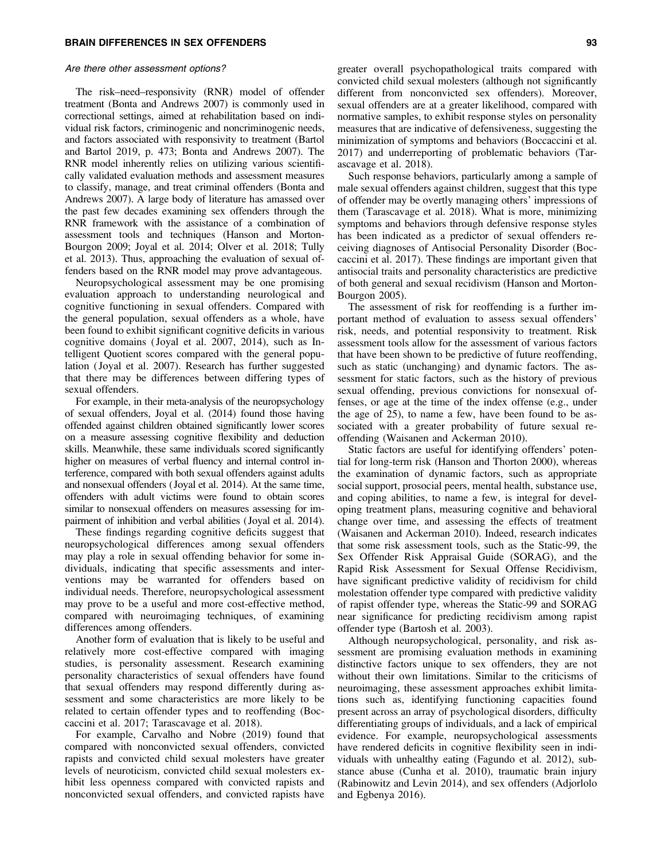#### Are there other assessment options?

The risk–need–responsivity (RNR) model of offender treatment (Bonta and Andrews 2007) is commonly used in correctional settings, aimed at rehabilitation based on individual risk factors, criminogenic and noncriminogenic needs, and factors associated with responsivity to treatment (Bartol and Bartol 2019, p. 473; Bonta and Andrews 2007). The RNR model inherently relies on utilizing various scientifically validated evaluation methods and assessment measures to classify, manage, and treat criminal offenders (Bonta and Andrews 2007). A large body of literature has amassed over the past few decades examining sex offenders through the RNR framework with the assistance of a combination of assessment tools and techniques (Hanson and Morton-Bourgon 2009; Joyal et al. 2014; Olver et al. 2018; Tully et al. 2013). Thus, approaching the evaluation of sexual offenders based on the RNR model may prove advantageous.

Neuropsychological assessment may be one promising evaluation approach to understanding neurological and cognitive functioning in sexual offenders. Compared with the general population, sexual offenders as a whole, have been found to exhibit significant cognitive deficits in various cognitive domains (Joyal et al. 2007, 2014), such as Intelligent Quotient scores compared with the general population ( Joyal et al. 2007). Research has further suggested that there may be differences between differing types of sexual offenders.

For example, in their meta-analysis of the neuropsychology of sexual offenders, Joyal et al. (2014) found those having offended against children obtained significantly lower scores on a measure assessing cognitive flexibility and deduction skills. Meanwhile, these same individuals scored significantly higher on measures of verbal fluency and internal control interference, compared with both sexual offenders against adults and nonsexual offenders (Joyal et al. 2014). At the same time, offenders with adult victims were found to obtain scores similar to nonsexual offenders on measures assessing for impairment of inhibition and verbal abilities (Joyal et al. 2014).

These findings regarding cognitive deficits suggest that neuropsychological differences among sexual offenders may play a role in sexual offending behavior for some individuals, indicating that specific assessments and interventions may be warranted for offenders based on individual needs. Therefore, neuropsychological assessment may prove to be a useful and more cost-effective method, compared with neuroimaging techniques, of examining differences among offenders.

Another form of evaluation that is likely to be useful and relatively more cost-effective compared with imaging studies, is personality assessment. Research examining personality characteristics of sexual offenders have found that sexual offenders may respond differently during assessment and some characteristics are more likely to be related to certain offender types and to reoffending (Boccaccini et al. 2017; Tarascavage et al. 2018).

For example, Carvalho and Nobre (2019) found that compared with nonconvicted sexual offenders, convicted rapists and convicted child sexual molesters have greater levels of neuroticism, convicted child sexual molesters exhibit less openness compared with convicted rapists and nonconvicted sexual offenders, and convicted rapists have greater overall psychopathological traits compared with convicted child sexual molesters (although not significantly different from nonconvicted sex offenders). Moreover, sexual offenders are at a greater likelihood, compared with normative samples, to exhibit response styles on personality measures that are indicative of defensiveness, suggesting the minimization of symptoms and behaviors (Boccaccini et al. 2017) and underreporting of problematic behaviors (Tarascavage et al. 2018).

Such response behaviors, particularly among a sample of male sexual offenders against children, suggest that this type of offender may be overtly managing others' impressions of them (Tarascavage et al. 2018). What is more, minimizing symptoms and behaviors through defensive response styles has been indicated as a predictor of sexual offenders receiving diagnoses of Antisocial Personality Disorder (Boccaccini et al. 2017). These findings are important given that antisocial traits and personality characteristics are predictive of both general and sexual recidivism (Hanson and Morton-Bourgon 2005).

The assessment of risk for reoffending is a further important method of evaluation to assess sexual offenders' risk, needs, and potential responsivity to treatment. Risk assessment tools allow for the assessment of various factors that have been shown to be predictive of future reoffending, such as static (unchanging) and dynamic factors. The assessment for static factors, such as the history of previous sexual offending, previous convictions for nonsexual offenses, or age at the time of the index offense (e.g., under the age of 25), to name a few, have been found to be associated with a greater probability of future sexual reoffending (Waisanen and Ackerman 2010).

Static factors are useful for identifying offenders' potential for long-term risk (Hanson and Thorton 2000), whereas the examination of dynamic factors, such as appropriate social support, prosocial peers, mental health, substance use, and coping abilities, to name a few, is integral for developing treatment plans, measuring cognitive and behavioral change over time, and assessing the effects of treatment (Waisanen and Ackerman 2010). Indeed, research indicates that some risk assessment tools, such as the Static-99, the Sex Offender Risk Appraisal Guide (SORAG), and the Rapid Risk Assessment for Sexual Offense Recidivism, have significant predictive validity of recidivism for child molestation offender type compared with predictive validity of rapist offender type, whereas the Static-99 and SORAG near significance for predicting recidivism among rapist offender type (Bartosh et al. 2003).

Although neuropsychological, personality, and risk assessment are promising evaluation methods in examining distinctive factors unique to sex offenders, they are not without their own limitations. Similar to the criticisms of neuroimaging, these assessment approaches exhibit limitations such as, identifying functioning capacities found present across an array of psychological disorders, difficulty differentiating groups of individuals, and a lack of empirical evidence. For example, neuropsychological assessments have rendered deficits in cognitive flexibility seen in individuals with unhealthy eating (Fagundo et al. 2012), substance abuse (Cunha et al. 2010), traumatic brain injury (Rabinowitz and Levin 2014), and sex offenders (Adjorlolo and Egbenya 2016).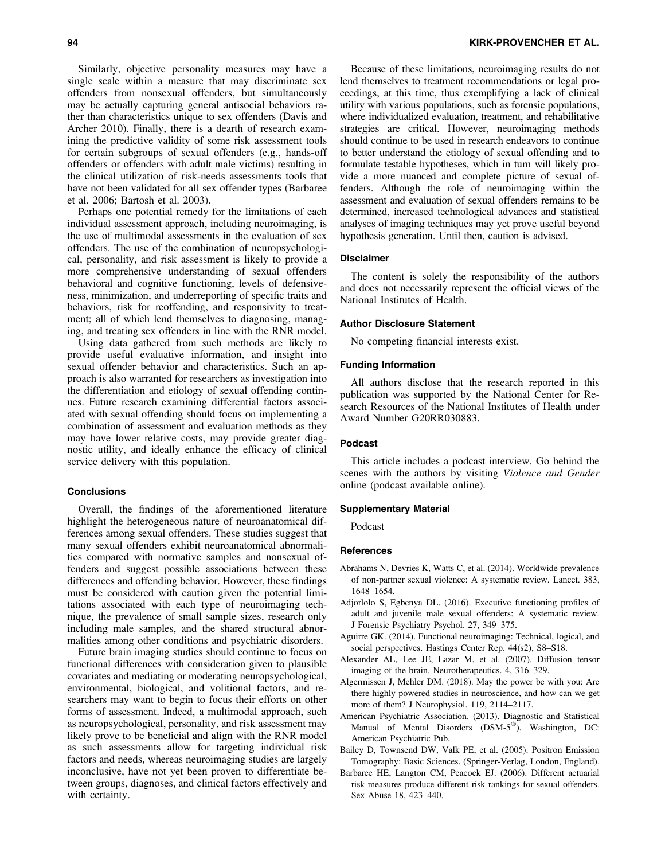Similarly, objective personality measures may have a single scale within a measure that may discriminate sex offenders from nonsexual offenders, but simultaneously may be actually capturing general antisocial behaviors rather than characteristics unique to sex offenders (Davis and Archer 2010). Finally, there is a dearth of research examining the predictive validity of some risk assessment tools for certain subgroups of sexual offenders (e.g., hands-off offenders or offenders with adult male victims) resulting in the clinical utilization of risk-needs assessments tools that have not been validated for all sex offender types (Barbaree et al. 2006; Bartosh et al. 2003).

Perhaps one potential remedy for the limitations of each individual assessment approach, including neuroimaging, is the use of multimodal assessments in the evaluation of sex offenders. The use of the combination of neuropsychological, personality, and risk assessment is likely to provide a more comprehensive understanding of sexual offenders behavioral and cognitive functioning, levels of defensiveness, minimization, and underreporting of specific traits and behaviors, risk for reoffending, and responsivity to treatment; all of which lend themselves to diagnosing, managing, and treating sex offenders in line with the RNR model.

Using data gathered from such methods are likely to provide useful evaluative information, and insight into sexual offender behavior and characteristics. Such an approach is also warranted for researchers as investigation into the differentiation and etiology of sexual offending continues. Future research examining differential factors associated with sexual offending should focus on implementing a combination of assessment and evaluation methods as they may have lower relative costs, may provide greater diagnostic utility, and ideally enhance the efficacy of clinical service delivery with this population.

#### **Conclusions**

Overall, the findings of the aforementioned literature highlight the heterogeneous nature of neuroanatomical differences among sexual offenders. These studies suggest that many sexual offenders exhibit neuroanatomical abnormalities compared with normative samples and nonsexual offenders and suggest possible associations between these differences and offending behavior. However, these findings must be considered with caution given the potential limitations associated with each type of neuroimaging technique, the prevalence of small sample sizes, research only including male samples, and the shared structural abnormalities among other conditions and psychiatric disorders.

Future brain imaging studies should continue to focus on functional differences with consideration given to plausible covariates and mediating or moderating neuropsychological, environmental, biological, and volitional factors, and researchers may want to begin to focus their efforts on other forms of assessment. Indeed, a multimodal approach, such as neuropsychological, personality, and risk assessment may likely prove to be beneficial and align with the RNR model as such assessments allow for targeting individual risk factors and needs, whereas neuroimaging studies are largely inconclusive, have not yet been proven to differentiate between groups, diagnoses, and clinical factors effectively and with certainty.

Because of these limitations, neuroimaging results do not lend themselves to treatment recommendations or legal proceedings, at this time, thus exemplifying a lack of clinical utility with various populations, such as forensic populations, where individualized evaluation, treatment, and rehabilitative strategies are critical. However, neuroimaging methods should continue to be used in research endeavors to continue to better understand the etiology of sexual offending and to formulate testable hypotheses, which in turn will likely provide a more nuanced and complete picture of sexual offenders. Although the role of neuroimaging within the assessment and evaluation of sexual offenders remains to be determined, increased technological advances and statistical analyses of imaging techniques may yet prove useful beyond hypothesis generation. Until then, caution is advised.

## Disclaimer

The content is solely the responsibility of the authors and does not necessarily represent the official views of the National Institutes of Health.

# Author Disclosure Statement

No competing financial interests exist.

# Funding Information

All authors disclose that the research reported in this publication was supported by the National Center for Research Resources of the National Institutes of Health under Award Number G20RR030883.

#### Podcast

This article includes a podcast interview. Go behind the scenes with the authors by visiting Violence and Gender online (podcast available online).

#### Supplementary Material

[Podcast](https://www.liebertpub.com/viopodcast)

#### References

- Abrahams N, Devries K, Watts C, et al. (2014). Worldwide prevalence of non-partner sexual violence: A systematic review. Lancet. 383, 1648–1654.
- Adjorlolo S, Egbenya DL. (2016). Executive functioning profiles of adult and juvenile male sexual offenders: A systematic review. J Forensic Psychiatry Psychol. 27, 349–375.
- Aguirre GK. (2014). Functional neuroimaging: Technical, logical, and social perspectives. Hastings Center Rep. 44(s2), S8–S18.
- Alexander AL, Lee JE, Lazar M, et al. (2007). Diffusion tensor imaging of the brain. Neurotherapeutics. 4, 316–329.
- Algermissen J, Mehler DM. (2018). May the power be with you: Are there highly powered studies in neuroscience, and how can we get more of them? J Neurophysiol. 119, 2114–2117.
- American Psychiatric Association. (2013). Diagnostic and Statistical Manual of Mental Disorders (DSM-5<sup>®</sup>). Washington, DC: American Psychiatric Pub.
- Bailey D, Townsend DW, Valk PE, et al. (2005). Positron Emission Tomography: Basic Sciences. (Springer-Verlag, London, England).
- Barbaree HE, Langton CM, Peacock EJ. (2006). Different actuarial risk measures produce different risk rankings for sexual offenders. Sex Abuse 18, 423–440.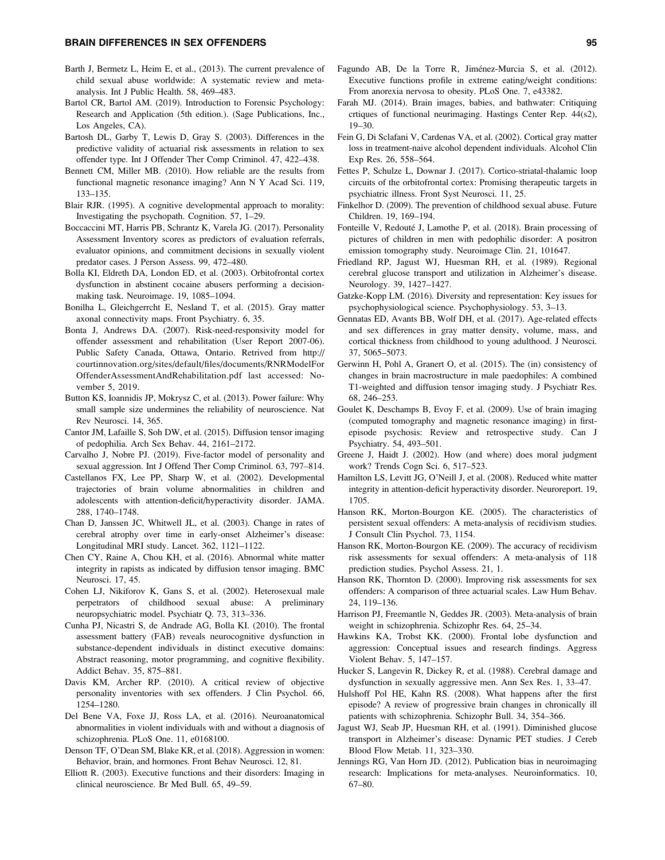# BRAIN DIFFERENCES IN SEX OFFENDERS 95

- Barth J, Bermetz L, Heim E, et al., (2013). The current prevalence of child sexual abuse worldwide: A systematic review and metaanalysis. Int J Public Health. 58, 469–483.
- Bartol CR, Bartol AM. (2019). Introduction to Forensic Psychology: Research and Application (5th edition.). (Sage Publications, Inc., Los Angeles, CA).
- Bartosh DL, Garby T, Lewis D, Gray S. (2003). Differences in the predictive validity of actuarial risk assessments in relation to sex offender type. Int J Offender Ther Comp Criminol. 47, 422–438.
- Bennett CM, Miller MB. (2010). How reliable are the results from functional magnetic resonance imaging? Ann N Y Acad Sci. 119, 133–135.
- Blair RJR. (1995). A cognitive developmental approach to morality: Investigating the psychopath. Cognition. 57, 1–29.
- Boccaccini MT, Harris PB, Schrantz K, Varela JG. (2017). Personality Assessment Inventory scores as predictors of evaluation referrals, evaluator opinions, and commitment decisions in sexually violent predator cases. J Person Assess. 99, 472–480.
- Bolla KI, Eldreth DA, London ED, et al. (2003). Orbitofrontal cortex dysfunction in abstinent cocaine abusers performing a decisionmaking task. Neuroimage. 19, 1085–1094.
- Bonilha L, Gleichgerrcht E, Nesland T, et al. (2015). Gray matter axonal connectivity maps. Front Psychiatry. 6, 35.
- Bonta J, Andrews DA. (2007). Risk-need-responsivity model for offender assessment and rehabilitation (User Report 2007-06). Public Safety Canada, Ottawa, Ontario. Retrived from [http://](http://courtinnovation.org/sites/default/files/documents/RNRModelForOffenderAssessmentAndRehabilitation.pdf) [courtinnovation.org/sites/default/files/documents/RNRModelFor](http://courtinnovation.org/sites/default/files/documents/RNRModelForOffenderAssessmentAndRehabilitation.pdf) [OffenderAssessmentAndRehabilitation.pdf](http://courtinnovation.org/sites/default/files/documents/RNRModelForOffenderAssessmentAndRehabilitation.pdf) last accessed: November 5, 2019.
- Button KS, Ioannidis JP, Mokrysz C, et al. (2013). Power failure: Why small sample size undermines the reliability of neuroscience. Nat Rev Neurosci. 14, 365.
- Cantor JM, Lafaille S, Soh DW, et al. (2015). Diffusion tensor imaging of pedophilia. Arch Sex Behav. 44, 2161–2172.
- Carvalho J, Nobre PJ. (2019). Five-factor model of personality and sexual aggression. Int J Offend Ther Comp Criminol. 63, 797–814.
- Castellanos FX, Lee PP, Sharp W, et al. (2002). Developmental trajectories of brain volume abnormalities in children and adolescents with attention-deficit/hyperactivity disorder. JAMA. 288, 1740–1748.
- Chan D, Janssen JC, Whitwell JL, et al. (2003). Change in rates of cerebral atrophy over time in early-onset Alzheimer's disease: Longitudinal MRI study. Lancet. 362, 1121–1122.
- Chen CY, Raine A, Chou KH, et al. (2016). Abnormal white matter integrity in rapists as indicated by diffusion tensor imaging. BMC Neurosci. 17, 45.
- Cohen LJ, Nikiforov K, Gans S, et al. (2002). Heterosexual male perpetrators of childhood sexual abuse: A preliminary neuropsychiatric model. Psychiatr Q. 73, 313–336.
- Cunha PJ, Nicastri S, de Andrade AG, Bolla KI. (2010). The frontal assessment battery (FAB) reveals neurocognitive dysfunction in substance-dependent individuals in distinct executive domains: Abstract reasoning, motor programming, and cognitive flexibility. Addict Behav. 35, 875–881.
- Davis KM, Archer RP. (2010). A critical review of objective personality inventories with sex offenders. J Clin Psychol. 66, 1254–1280.
- Del Bene VA, Foxe JJ, Ross LA, et al. (2016). Neuroanatomical abnormalities in violent individuals with and without a diagnosis of schizophrenia. PLoS One. 11, e0168100.
- Denson TF, O'Dean SM, Blake KR, et al. (2018). Aggression in women: Behavior, brain, and hormones. Front Behav Neurosci. 12, 81.
- Elliott R. (2003). Executive functions and their disorders: Imaging in clinical neuroscience. Br Med Bull. 65, 49–59.
- Fagundo AB, De la Torre R, Jiménez-Murcia S, et al. (2012). Executive functions profile in extreme eating/weight conditions: From anorexia nervosa to obesity. PLoS One. 7, e43382.
- Farah MJ. (2014). Brain images, babies, and bathwater: Critiquing crtiques of functional neurimaging. Hastings Center Rep. 44(s2), 19–30.
- Fein G, Di Sclafani V, Cardenas VA, et al. (2002). Cortical gray matter loss in treatment-naive alcohol dependent individuals. Alcohol Clin Exp Res. 26, 558–564.
- Fettes P, Schulze L, Downar J. (2017). Cortico-striatal-thalamic loop circuits of the orbitofrontal cortex: Promising therapeutic targets in psychiatric illness. Front Syst Neurosci. 11, 25.
- Finkelhor D. (2009). The prevention of childhood sexual abuse. Future Children. 19, 169–194.
- Fonteille V, Redouté J, Lamothe P, et al. (2018). Brain processing of pictures of children in men with pedophilic disorder: A positron emission tomography study. Neuroimage Clin. 21, 101647.
- Friedland RP, Jagust WJ, Huesman RH, et al. (1989). Regional cerebral glucose transport and utilization in Alzheimer's disease. Neurology. 39, 1427–1427.
- Gatzke-Kopp LM. (2016). Diversity and representation: Key issues for psychophysiological science. Psychophysiology. 53, 3–13.
- Gennatas ED, Avants BB, Wolf DH, et al. (2017). Age-related effects and sex differences in gray matter density, volume, mass, and cortical thickness from childhood to young adulthood. J Neurosci. 37, 5065–5073.
- Gerwinn H, Pohl A, Granert O, et al. (2015). The (in) consistency of changes in brain macrostructure in male paedophiles: A combined T1-weighted and diffusion tensor imaging study. J Psychiatr Res. 68, 246–253.
- Goulet K, Deschamps B, Evoy F, et al. (2009). Use of brain imaging (computed tomography and magnetic resonance imaging) in firstepisode psychosis: Review and retrospective study. Can J Psychiatry. 54, 493–501.
- Greene J, Haidt J. (2002). How (and where) does moral judgment work? Trends Cogn Sci. 6, 517–523.
- Hamilton LS, Levitt JG, O'Neill J, et al. (2008). Reduced white matter integrity in attention-deficit hyperactivity disorder. Neuroreport. 19, 1705.
- Hanson RK, Morton-Bourgon KE. (2005). The characteristics of persistent sexual offenders: A meta-analysis of recidivism studies. J Consult Clin Psychol. 73, 1154.
- Hanson RK, Morton-Bourgon KE. (2009). The accuracy of recidivism risk assessments for sexual offenders: A meta-analysis of 118 prediction studies. Psychol Assess. 21, 1.
- Hanson RK, Thornton D. (2000). Improving risk assessments for sex offenders: A comparison of three actuarial scales. Law Hum Behav. 24, 119–136.
- Harrison PJ, Freemantle N, Geddes JR. (2003). Meta-analysis of brain weight in schizophrenia. Schizophr Res. 64, 25–34.
- Hawkins KA, Trobst KK. (2000). Frontal lobe dysfunction and aggression: Conceptual issues and research findings. Aggress Violent Behav. 5, 147–157.
- Hucker S, Langevin R, Dickey R, et al. (1988). Cerebral damage and dysfunction in sexually aggressive men. Ann Sex Res. 1, 33–47.
- Hulshoff Pol HE, Kahn RS. (2008). What happens after the first episode? A review of progressive brain changes in chronically ill patients with schizophrenia. Schizophr Bull. 34, 354–366.
- Jagust WJ, Seab JP, Huesman RH, et al. (1991). Diminished glucose transport in Alzheimer's disease: Dynamic PET studies. J Cereb Blood Flow Metab. 11, 323–330.
- Jennings RG, Van Horn JD. (2012). Publication bias in neuroimaging research: Implications for meta-analyses. Neuroinformatics. 10, 67–80.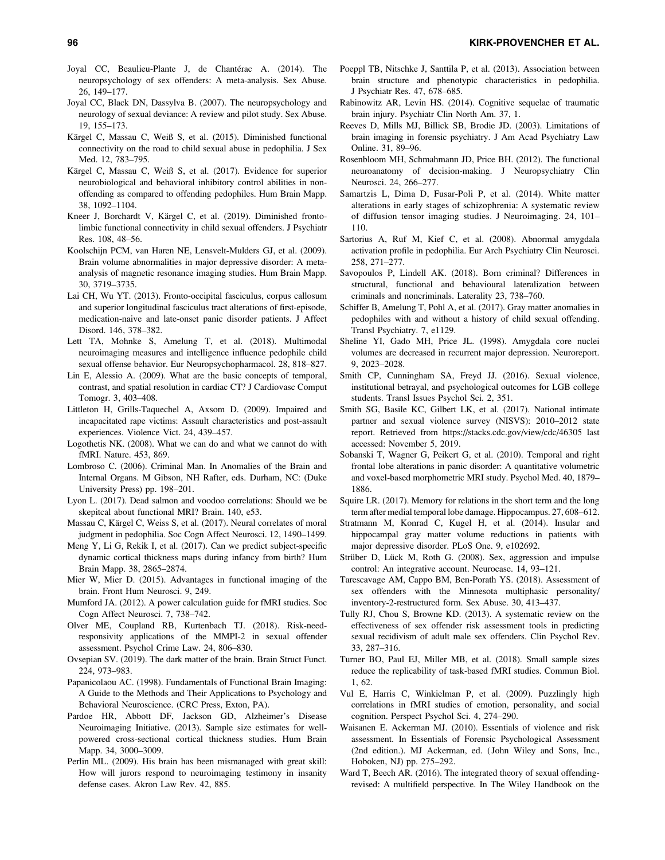- Joyal CC, Beaulieu-Plante J, de Chantérac A. (2014). The neuropsychology of sex offenders: A meta-analysis. Sex Abuse. 26, 149–177.
- Joyal CC, Black DN, Dassylva B. (2007). The neuropsychology and neurology of sexual deviance: A review and pilot study. Sex Abuse. 19, 155–173.
- Kärgel C, Massau C, Weiß S, et al. (2015). Diminished functional connectivity on the road to child sexual abuse in pedophilia. J Sex Med. 12, 783–795.
- Kärgel C, Massau C, Weiß S, et al. (2017). Evidence for superior neurobiological and behavioral inhibitory control abilities in nonoffending as compared to offending pedophiles. Hum Brain Mapp. 38, 1092–1104.
- Kneer J, Borchardt V, Kärgel C, et al. (2019). Diminished frontolimbic functional connectivity in child sexual offenders. J Psychiatr Res. 108, 48–56.
- Koolschijn PCM, van Haren NE, Lensvelt-Mulders GJ, et al. (2009). Brain volume abnormalities in major depressive disorder: A metaanalysis of magnetic resonance imaging studies. Hum Brain Mapp. 30, 3719–3735.
- Lai CH, Wu YT. (2013). Fronto-occipital fasciculus, corpus callosum and superior longitudinal fasciculus tract alterations of first-episode, medication-naive and late-onset panic disorder patients. J Affect Disord. 146, 378–382.
- Lett TA, Mohnke S, Amelung T, et al. (2018). Multimodal neuroimaging measures and intelligence influence pedophile child sexual offense behavior. Eur Neuropsychopharmacol. 28, 818–827.
- Lin E, Alessio A. (2009). What are the basic concepts of temporal, contrast, and spatial resolution in cardiac CT? J Cardiovasc Comput Tomogr. 3, 403–408.
- Littleton H, Grills-Taquechel A, Axsom D. (2009). Impaired and incapacitated rape victims: Assault characteristics and post-assault experiences. Violence Vict. 24, 439–457.
- Logothetis NK. (2008). What we can do and what we cannot do with fMRI. Nature. 453, 869.
- Lombroso C. (2006). Criminal Man. In Anomalies of the Brain and Internal Organs. M Gibson, NH Rafter, eds. Durham, NC: (Duke University Press) pp. 198–201.
- Lyon L. (2017). Dead salmon and voodoo correlations: Should we be skepitcal about functional MRI? Brain. 140, e53.
- Massau C, Kärgel C, Weiss S, et al. (2017). Neural correlates of moral judgment in pedophilia. Soc Cogn Affect Neurosci. 12, 1490–1499.
- Meng Y, Li G, Rekik I, et al. (2017). Can we predict subject-specific dynamic cortical thickness maps during infancy from birth? Hum Brain Mapp. 38, 2865–2874.
- Mier W, Mier D. (2015). Advantages in functional imaging of the brain. Front Hum Neurosci. 9, 249.
- Mumford JA. (2012). A power calculation guide for fMRI studies. Soc Cogn Affect Neurosci. 7, 738–742.
- Olver ME, Coupland RB, Kurtenbach TJ. (2018). Risk-needresponsivity applications of the MMPI-2 in sexual offender assessment. Psychol Crime Law. 24, 806–830.
- Ovsepian SV. (2019). The dark matter of the brain. Brain Struct Funct. 224, 973–983.
- Papanicolaou AC. (1998). Fundamentals of Functional Brain Imaging: A Guide to the Methods and Their Applications to Psychology and Behavioral Neuroscience. (CRC Press, Exton, PA).
- Pardoe HR, Abbott DF, Jackson GD, Alzheimer's Disease Neuroimaging Initiative. (2013). Sample size estimates for wellpowered cross-sectional cortical thickness studies. Hum Brain Mapp. 34, 3000–3009.
- Perlin ML. (2009). His brain has been mismanaged with great skill: How will jurors respond to neuroimaging testimony in insanity defense cases. Akron Law Rev. 42, 885.
- Poeppl TB, Nitschke J, Santtila P, et al. (2013). Association between brain structure and phenotypic characteristics in pedophilia. J Psychiatr Res. 47, 678–685.
- Rabinowitz AR, Levin HS. (2014). Cognitive sequelae of traumatic brain injury. Psychiatr Clin North Am. 37, 1.
- Reeves D, Mills MJ, Billick SB, Brodie JD. (2003). Limitations of brain imaging in forensic psychiatry. J Am Acad Psychiatry Law Online. 31, 89–96.
- Rosenbloom MH, Schmahmann JD, Price BH. (2012). The functional neuroanatomy of decision-making. J Neuropsychiatry Clin Neurosci. 24, 266–277.
- Samartzis L, Dima D, Fusar-Poli P, et al. (2014). White matter alterations in early stages of schizophrenia: A systematic review of diffusion tensor imaging studies. J Neuroimaging. 24, 101– 110.
- Sartorius A, Ruf M, Kief C, et al. (2008). Abnormal amygdala activation profile in pedophilia. Eur Arch Psychiatry Clin Neurosci. 258, 271–277.
- Savopoulos P, Lindell AK. (2018). Born criminal? Differences in structural, functional and behavioural lateralization between criminals and noncriminals. Laterality 23, 738–760.
- Schiffer B, Amelung T, Pohl A, et al. (2017). Gray matter anomalies in pedophiles with and without a history of child sexual offending. Transl Psychiatry. 7, e1129.
- Sheline YI, Gado MH, Price JL. (1998). Amygdala core nuclei volumes are decreased in recurrent major depression. Neuroreport. 9, 2023–2028.
- Smith CP, Cunningham SA, Freyd JJ. (2016). Sexual violence, institutional betrayal, and psychological outcomes for LGB college students. Transl Issues Psychol Sci. 2, 351.
- Smith SG, Basile KC, Gilbert LK, et al. (2017). National intimate partner and sexual violence survey (NISVS): 2010–2012 state report. Retrieved from<https://stacks.cdc.gov/view/cdc/46305> last accessed: November 5, 2019.
- Sobanski T, Wagner G, Peikert G, et al. (2010). Temporal and right frontal lobe alterations in panic disorder: A quantitative volumetric and voxel-based morphometric MRI study. Psychol Med. 40, 1879– 1886.
- Squire LR. (2017). Memory for relations in the short term and the long term after medial temporal lobe damage. Hippocampus. 27, 608–612.
- Stratmann M, Konrad C, Kugel H, et al. (2014). Insular and hippocampal gray matter volume reductions in patients with major depressive disorder. PLoS One. 9, e102692.
- Strüber D, Lück M, Roth G. (2008). Sex, aggression and impulse control: An integrative account. Neurocase. 14, 93–121.
- Tarescavage AM, Cappo BM, Ben-Porath YS. (2018). Assessment of sex offenders with the Minnesota multiphasic personality/ inventory-2-restructured form. Sex Abuse. 30, 413–437.
- Tully RJ, Chou S, Browne KD. (2013). A systematic review on the effectiveness of sex offender risk assessment tools in predicting sexual recidivism of adult male sex offenders. Clin Psychol Rev. 33, 287–316.
- Turner BO, Paul EJ, Miller MB, et al. (2018). Small sample sizes reduce the replicability of task-based fMRI studies. Commun Biol. 1, 62.
- Vul E, Harris C, Winkielman P, et al. (2009). Puzzlingly high correlations in fMRI studies of emotion, personality, and social cognition. Perspect Psychol Sci. 4, 274–290.
- Waisanen E. Ackerman MJ. (2010). Essentials of violence and risk assessment. In Essentials of Forensic Psychological Assessment (2nd edition.). MJ Ackerman, ed. ( John Wiley and Sons, Inc., Hoboken, NJ) pp. 275–292.
- Ward T, Beech AR. (2016). The integrated theory of sexual offendingrevised: A multifield perspective. In The Wiley Handbook on the